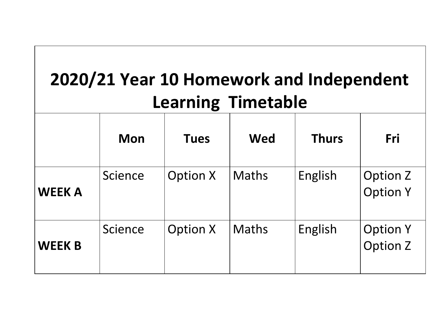| 2020/21 Year 10 Homework and Independent<br><b>Learning Timetable</b> |            |                 |              |              |                                    |
|-----------------------------------------------------------------------|------------|-----------------|--------------|--------------|------------------------------------|
|                                                                       | <b>Mon</b> | <b>Tues</b>     | <b>Wed</b>   | <b>Thurs</b> | Fri                                |
| <b>WEEK A</b>                                                         | Science    | <b>Option X</b> | <b>Maths</b> | English      | Option Z<br><b>Option Y</b>        |
| <b>WEEK B</b>                                                         | Science    | <b>Option X</b> | <b>Maths</b> | English      | <b>Option Y</b><br><b>Option Z</b> |